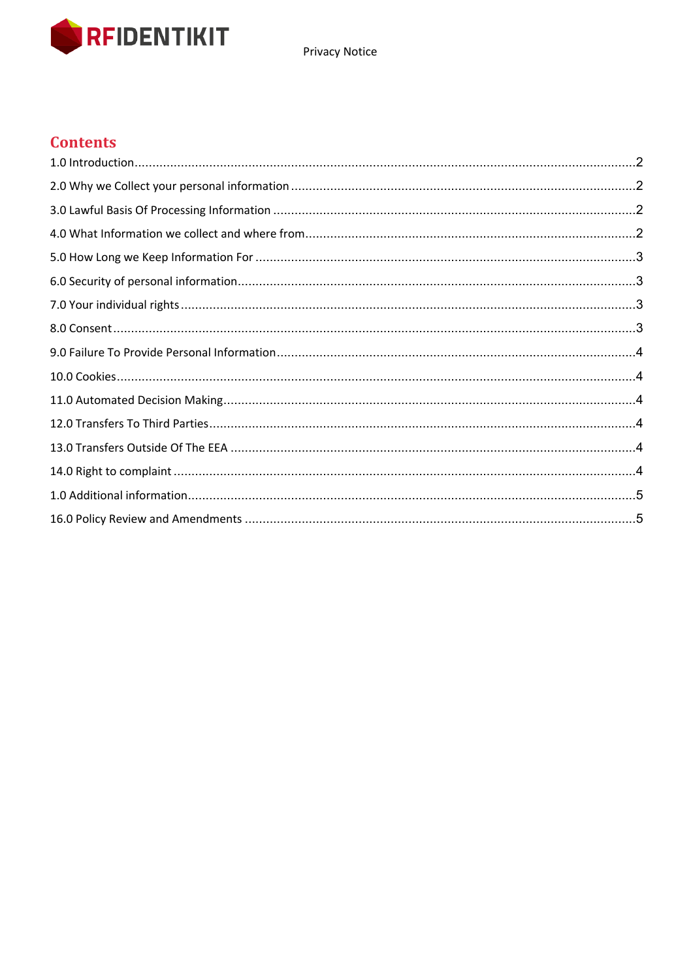

#### **Contents**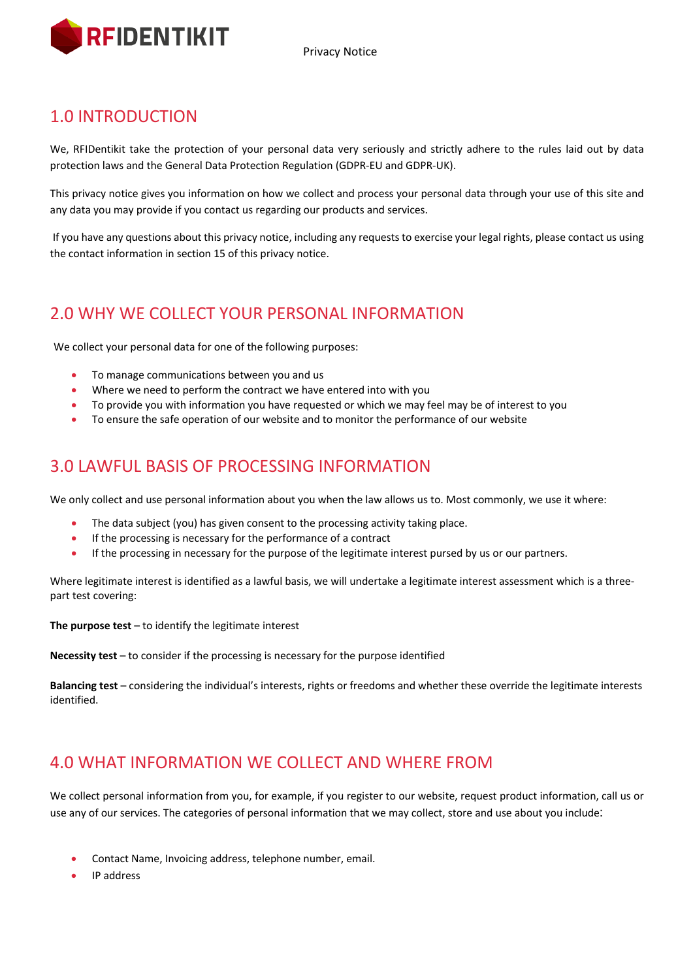

### 1.0 INTRODUCTION

We, RFIDentikit take the protection of your personal data very seriously and strictly adhere to the rules laid out by data protection laws and the General Data Protection Regulation (GDPR-EU and GDPR-UK).

This privacy notice gives you information on how we collect and process your personal data through your use of this site and any data you may provide if you contact us regarding our products and services.

If you have any questions about this privacy notice, including any requests to exercise your legal rights, please contact us using the contact information in section 15 of this privacy notice.

### 2.0 WHY WE COLLECT YOUR PERSONAL INFORMATION

We collect your personal data for one of the following purposes:

- To manage communications between you and us
- Where we need to perform the contract we have entered into with you
- To provide you with information you have requested or which we may feel may be of interest to you
- To ensure the safe operation of our website and to monitor the performance of our website

### 3.0 LAWFUL BASIS OF PROCESSING INFORMATION

We only collect and use personal information about you when the law allows us to. Most commonly, we use it where:

- The data subject (you) has given consent to the processing activity taking place.
- If the processing is necessary for the performance of a contract
- If the processing in necessary for the purpose of the legitimate interest pursed by us or our partners.

Where legitimate interest is identified as a lawful basis, we will undertake a legitimate interest assessment which is a threepart test covering:

**The purpose test** – to identify the legitimate interest

**Necessity test** – to consider if the processing is necessary for the purpose identified

**Balancing test** – considering the individual's interests, rights or freedoms and whether these override the legitimate interests identified.

### 4.0 WHAT INFORMATION WE COLLECT AND WHERE FROM

We collect personal information from you, for example, if you register to our website, request product information, call us or use any of our services. The categories of personal information that we may collect, store and use about you include:

- Contact Name, Invoicing address, telephone number, email.
- IP address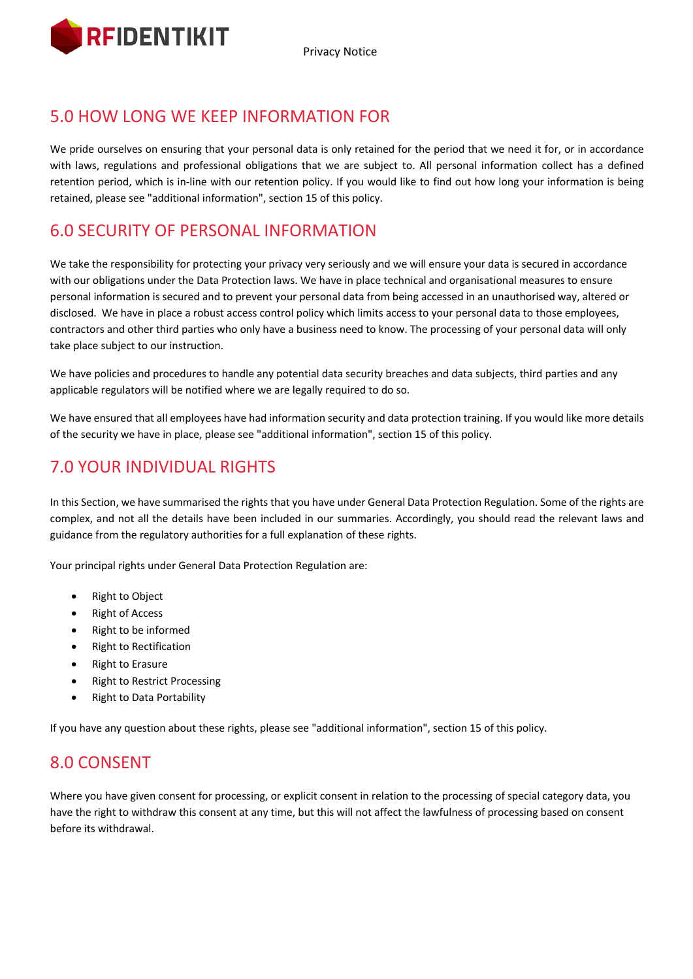

Privacy Notice

# 5.0 HOW LONG WE KEEP INFORMATION FOR

We pride ourselves on ensuring that your personal data is only retained for the period that we need it for, or in accordance with laws, regulations and professional obligations that we are subject to. All personal information collect has a defined retention period, which is in-line with our retention policy. If you would like to find out how long your information is being retained, please see "additional information", section 15 of this policy.

### 6.0 SECURITY OF PERSONAL INFORMATION

We take the responsibility for protecting your privacy very seriously and we will ensure your data is secured in accordance with our obligations under the Data Protection laws. We have in place technical and organisational measures to ensure personal information is secured and to prevent your personal data from being accessed in an unauthorised way, altered or disclosed. We have in place a robust access control policy which limits access to your personal data to those employees, contractors and other third parties who only have a business need to know. The processing of your personal data will only take place subject to our instruction.

We have policies and procedures to handle any potential data security breaches and data subjects, third parties and any applicable regulators will be notified where we are legally required to do so.

We have ensured that all employees have had information security and data protection training. If you would like more details of the security we have in place, please see "additional information", section 15 of this policy.

# 7.0 YOUR INDIVIDUAL RIGHTS

In this Section, we have summarised the rights that you have under General Data Protection Regulation. Some of the rights are complex, and not all the details have been included in our summaries. Accordingly, you should read the relevant laws and guidance from the regulatory authorities for a full explanation of these rights.

Your principal rights under General Data Protection Regulation are:

- Right to Object
- Right of Access
- Right to be informed
- Right to Rectification
- Right to Erasure
- Right to Restrict Processing
- Right to Data Portability

If you have any question about these rights, please see "additional information", section 15 of this policy.

#### 8.0 CONSENT

Where you have given consent for processing, or explicit consent in relation to the processing of special category data, you have the right to withdraw this consent at any time, but this will not affect the lawfulness of processing based on consent before its withdrawal.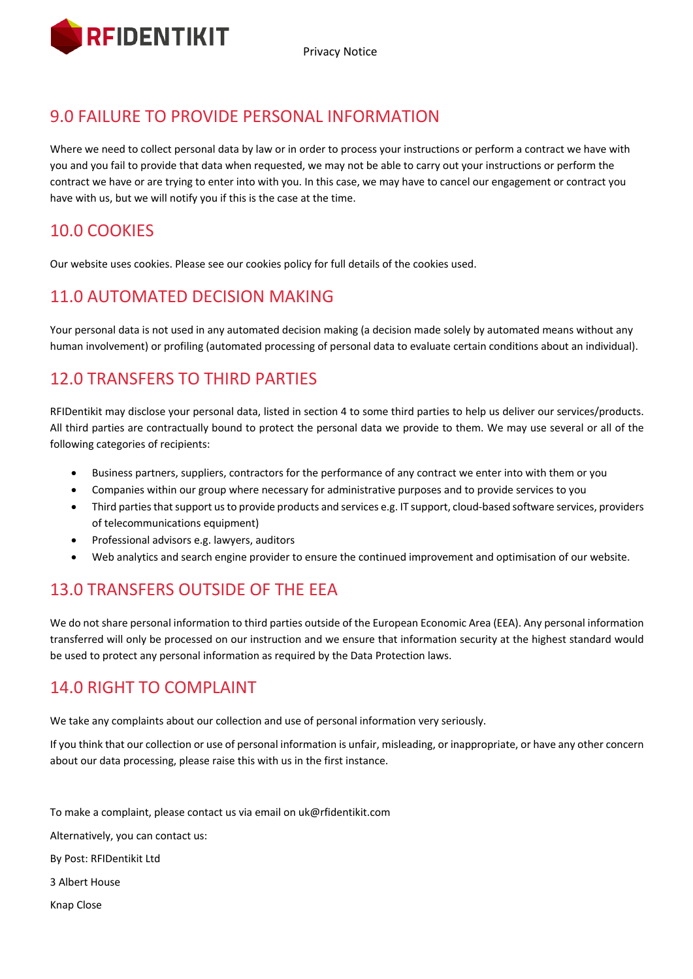

Privacy Notice

# 9.0 FAILURE TO PROVIDE PERSONAL INFORMATION

Where we need to collect personal data by law or in order to process your instructions or perform a contract we have with you and you fail to provide that data when requested, we may not be able to carry out your instructions or perform the contract we have or are trying to enter into with you. In this case, we may have to cancel our engagement or contract you have with us, but we will notify you if this is the case at the time.

# 10.0 COOKIES

Our website uses cookies. Please see our cookies policy for full details of the cookies used.

## 11.0 AUTOMATED DECISION MAKING

Your personal data is not used in any automated decision making (a decision made solely by automated means without any human involvement) or profiling (automated processing of personal data to evaluate certain conditions about an individual).

# 12.0 TRANSFERS TO THIRD PARTIES

RFIDentikit may disclose your personal data, listed in section 4 to some third parties to help us deliver our services/products. All third parties are contractually bound to protect the personal data we provide to them. We may use several or all of the following categories of recipients:

- Business partners, suppliers, contractors for the performance of any contract we enter into with them or you
- Companies within our group where necessary for administrative purposes and to provide services to you
- Third parties that support us to provide products and services e.g. IT support, cloud-based software services, providers of telecommunications equipment)
- Professional advisors e.g. lawyers, auditors
- Web analytics and search engine provider to ensure the continued improvement and optimisation of our website.

## 13.0 TRANSFERS OUTSIDE OF THE EEA

We do not share personal information to third parties outside of the European Economic Area (EEA). Any personal information transferred will only be processed on our instruction and we ensure that information security at the highest standard would be used to protect any personal information as required by the Data Protection laws.

## 14.0 RIGHT TO COMPLAINT

We take any complaints about our collection and use of personal information very seriously.

If you think that our collection or use of personal information is unfair, misleading, or inappropriate, or have any other concern about our data processing, please raise this with us in the first instance.

To make a complaint, please contact us via email on uk@rfidentikit.com

Alternatively, you can contact us:

By Post: RFIDentikit Ltd

3 Albert House

Knap Close